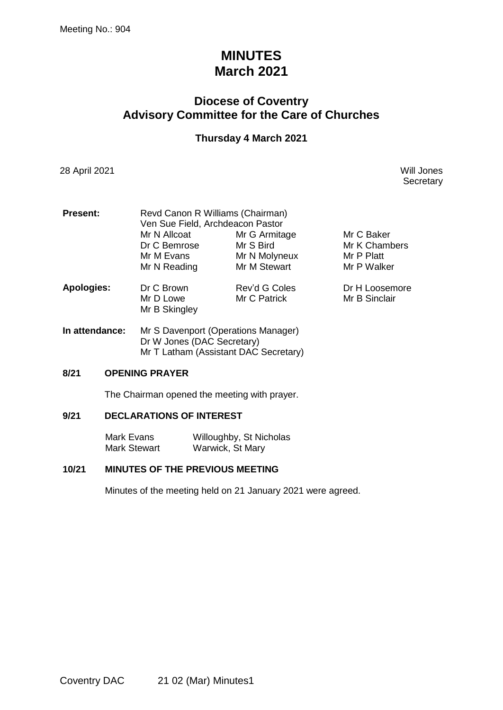# **MINUTES March 2021**

## **Diocese of Coventry Advisory Committee for the Care of Churches**

### **Thursday 4 March 2021**

28 April 2021 Will Jones

**Secretary** 

| <b>Present:</b>   | Revd Canon R Williams (Chairman) |               |                |  |  |
|-------------------|----------------------------------|---------------|----------------|--|--|
|                   | Ven Sue Field, Archdeacon Pastor |               |                |  |  |
|                   | Mr N Allcoat                     | Mr G Armitage | Mr C Baker     |  |  |
|                   | Dr C Bemrose                     | Mr S Bird     | Mr K Chambers  |  |  |
|                   | Mr M Evans                       | Mr N Molyneux | Mr P Platt     |  |  |
|                   | Mr N Reading                     | Mr M Stewart  | Mr P Walker    |  |  |
| <b>Apologies:</b> | Dr C Brown                       | Rev'd G Coles | Dr H Loosemore |  |  |
|                   | Mr D Lowe<br>Mr B Skingley       | Mr C Patrick  | Mr B Sinclair  |  |  |
|                   |                                  |               |                |  |  |

**In attendance:** Mr S Davenport (Operations Manager) Dr W Jones (DAC Secretary) Mr T Latham (Assistant DAC Secretary)

### **8/21 OPENING PRAYER**

The Chairman opened the meeting with prayer.

### **9/21 DECLARATIONS OF INTEREST**

Mark Evans Willoughby, St Nicholas Mark Stewart Warwick, St Mary

### **10/21 MINUTES OF THE PREVIOUS MEETING**

Minutes of the meeting held on 21 January 2021 were agreed.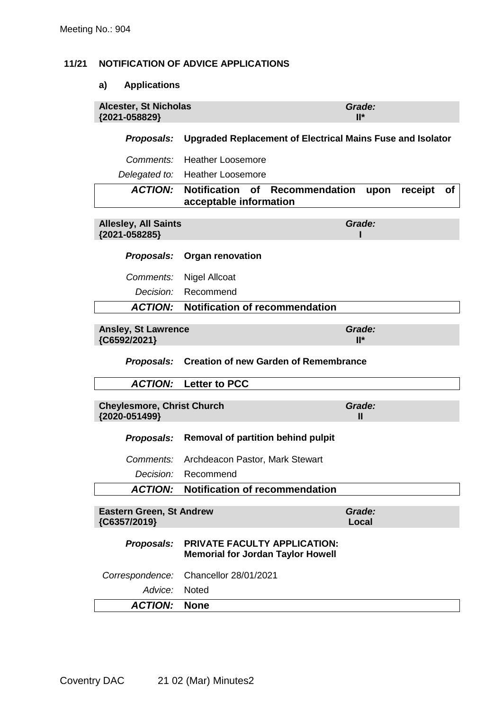### **11/21 NOTIFICATION OF ADVICE APPLICATIONS**

### **a) Applications**

| <b>Alcester, St Nicholas</b><br>{2021-058829}      |                                                                                     | Grade:<br>$II^*$       |
|----------------------------------------------------|-------------------------------------------------------------------------------------|------------------------|
| Proposals:                                         | <b>Upgraded Replacement of Electrical Mains Fuse and Isolator</b>                   |                        |
| Comments:                                          | <b>Heather Loosemore</b>                                                            |                        |
| Delegated to:                                      | <b>Heather Loosemore</b>                                                            |                        |
| <b>ACTION:</b>                                     | <b>Notification</b><br><b>of</b><br><b>Recommendation</b><br>acceptable information | receipt<br>upon<br>Οf  |
| <b>Allesley, All Saints</b><br>{2021-058285}       |                                                                                     | Grade:                 |
| Proposals:                                         | <b>Organ renovation</b>                                                             |                        |
| Comments:                                          | <b>Nigel Allcoat</b>                                                                |                        |
| Decision:                                          | Recommend                                                                           |                        |
| <b>ACTION:</b>                                     | <b>Notification of recommendation</b>                                               |                        |
| <b>Ansley, St Lawrence</b><br>{C6592/2021}         |                                                                                     | Grade:<br>$II^*$       |
|                                                    |                                                                                     |                        |
| Proposals:                                         | <b>Creation of new Garden of Remembrance</b>                                        |                        |
| <b>ACTION:</b>                                     | <b>Letter to PCC</b>                                                                |                        |
| <b>Cheylesmore, Christ Church</b><br>{2020-051499} |                                                                                     | Grade:<br>$\mathbf{I}$ |
| Proposals:                                         | <b>Removal of partition behind pulpit</b>                                           |                        |
| Comments:                                          | Archdeacon Pastor, Mark Stewart                                                     |                        |
| Decision:                                          | Recommend                                                                           |                        |
| <b>ACTION:</b>                                     | <b>Notification of recommendation</b>                                               |                        |
| <b>Eastern Green, St Andrew</b><br>{C6357/2019}    |                                                                                     | Grade:<br>Local        |
| Proposals:                                         | <b>PRIVATE FACULTY APPLICATION:</b><br><b>Memorial for Jordan Taylor Howell</b>     |                        |
| Correspondence:                                    | Chancellor 28/01/2021                                                               |                        |
| Advice:                                            | Noted                                                                               |                        |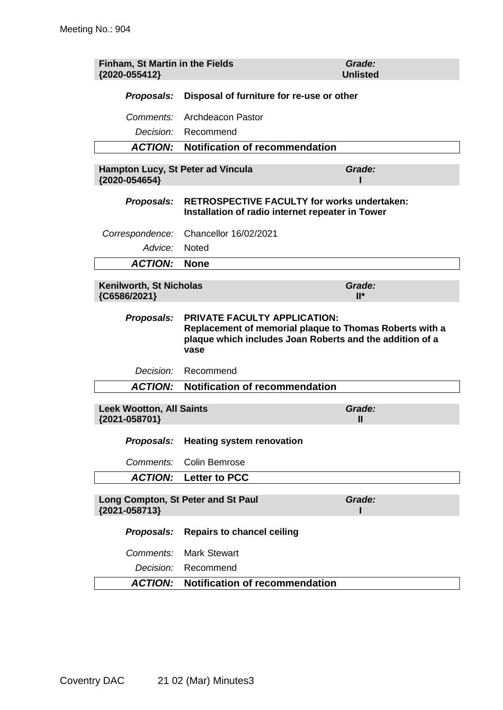| Finham, St Martin in the Fields<br>{2020-055412}   |                                                                                                                                                                    | Grade:<br><b>Unlisted</b> |
|----------------------------------------------------|--------------------------------------------------------------------------------------------------------------------------------------------------------------------|---------------------------|
| Proposals:                                         | Disposal of furniture for re-use or other                                                                                                                          |                           |
| Comments:                                          | Archdeacon Pastor                                                                                                                                                  |                           |
| Decision:                                          | Recommend                                                                                                                                                          |                           |
| <b>ACTION:</b>                                     | <b>Notification of recommendation</b>                                                                                                                              |                           |
| Hampton Lucy, St Peter ad Vincula<br>{2020-054654} |                                                                                                                                                                    | Grade:                    |
| Proposals:                                         | <b>RETROSPECTIVE FACULTY for works undertaken:</b><br>Installation of radio internet repeater in Tower                                                             |                           |
| Correspondence:                                    | Chancellor 16/02/2021                                                                                                                                              |                           |
| Advice:                                            | <b>Noted</b>                                                                                                                                                       |                           |
| <b>ACTION:</b>                                     | <b>None</b>                                                                                                                                                        |                           |
| Kenilworth, St Nicholas<br>{C6586/2021}            |                                                                                                                                                                    | Grade:<br>$II^*$          |
| Proposals:                                         | <b>PRIVATE FACULTY APPLICATION:</b><br>Replacement of memorial plaque to Thomas Roberts with a<br>plaque which includes Joan Roberts and the addition of a<br>vase |                           |
|                                                    | Decision: Recommend                                                                                                                                                |                           |
| <b>ACTION:</b>                                     | <b>Notification of recommendation</b>                                                                                                                              |                           |
| <b>Leek Wootton, All Saints</b><br>{2021-058701}   |                                                                                                                                                                    | Grade:<br>Ш               |
| Proposals:                                         | <b>Heating system renovation</b>                                                                                                                                   |                           |
| Comments:                                          | <b>Colin Bemrose</b>                                                                                                                                               |                           |
| <b>ACTION:</b>                                     | <b>Letter to PCC</b>                                                                                                                                               |                           |
| {2021-058713}                                      | Long Compton, St Peter and St Paul                                                                                                                                 | Grade:                    |
| Proposals:                                         | <b>Repairs to chancel ceiling</b>                                                                                                                                  |                           |
| Comments:                                          | <b>Mark Stewart</b>                                                                                                                                                |                           |
| Decision:                                          | Recommend                                                                                                                                                          |                           |
| <b>ACTION:</b>                                     | <b>Notification of recommendation</b>                                                                                                                              |                           |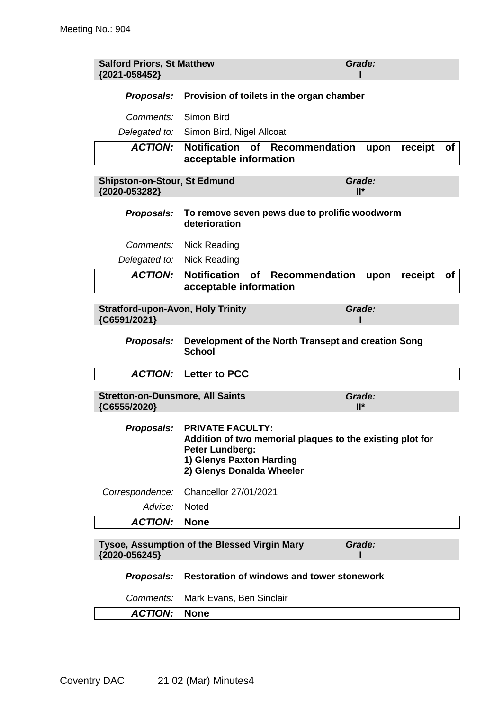| <b>Salford Priors, St Matthew</b><br>{2021-058452}       |                                                                                                                                                                             | Grade:                |  |  |
|----------------------------------------------------------|-----------------------------------------------------------------------------------------------------------------------------------------------------------------------------|-----------------------|--|--|
|                                                          | <b>Proposals:</b> Provision of toilets in the organ chamber                                                                                                                 |                       |  |  |
| Comments: Simon Bird                                     |                                                                                                                                                                             |                       |  |  |
|                                                          | Delegated to: Simon Bird, Nigel Allcoat                                                                                                                                     |                       |  |  |
| <b>ACTION:</b>                                           | Notification of<br>Recommendation<br>acceptable information                                                                                                                 | receipt<br>οf<br>upon |  |  |
| <b>Shipston-on-Stour, St Edmund</b><br>{2020-053282}     |                                                                                                                                                                             | Grade:<br>$II^*$      |  |  |
| Proposals:                                               | To remove seven pews due to prolific woodworm<br>deterioration                                                                                                              |                       |  |  |
| Comments:                                                | Nick Reading                                                                                                                                                                |                       |  |  |
| Delegated to:                                            | Nick Reading                                                                                                                                                                |                       |  |  |
| <b>ACTION:</b>                                           | <b>Notification</b><br>of<br>Recommendation<br>acceptable information                                                                                                       | receipt<br>upon<br>Οf |  |  |
| <b>Stratford-upon-Avon, Holy Trinity</b><br>{C6591/2021} |                                                                                                                                                                             | Grade:                |  |  |
| Proposals:                                               | Development of the North Transept and creation Song<br><b>School</b>                                                                                                        |                       |  |  |
| <b>ACTION:</b>                                           | <b>Letter to PCC</b>                                                                                                                                                        |                       |  |  |
| <b>Stretton-on-Dunsmore, All Saints</b><br>{C6555/2020}  |                                                                                                                                                                             | Grade:<br>$II^*$      |  |  |
|                                                          | Proposals: PRIVATE FACULTY:<br>Addition of two memorial plaques to the existing plot for<br><b>Peter Lundberg:</b><br>1) Glenys Paxton Harding<br>2) Glenys Donalda Wheeler |                       |  |  |
| Correspondence:                                          | Chancellor 27/01/2021                                                                                                                                                       |                       |  |  |
| Advice:                                                  | Noted                                                                                                                                                                       |                       |  |  |
| <b>ACTION:</b>                                           | <b>None</b>                                                                                                                                                                 |                       |  |  |
| {2020-056245}                                            | Tysoe, Assumption of the Blessed Virgin Mary                                                                                                                                | Grade:                |  |  |
| Proposals:                                               | <b>Restoration of windows and tower stonework</b>                                                                                                                           |                       |  |  |
| Comments:                                                | Mark Evans, Ben Sinclair                                                                                                                                                    |                       |  |  |
| <b>ACTION:</b>                                           | <b>None</b>                                                                                                                                                                 |                       |  |  |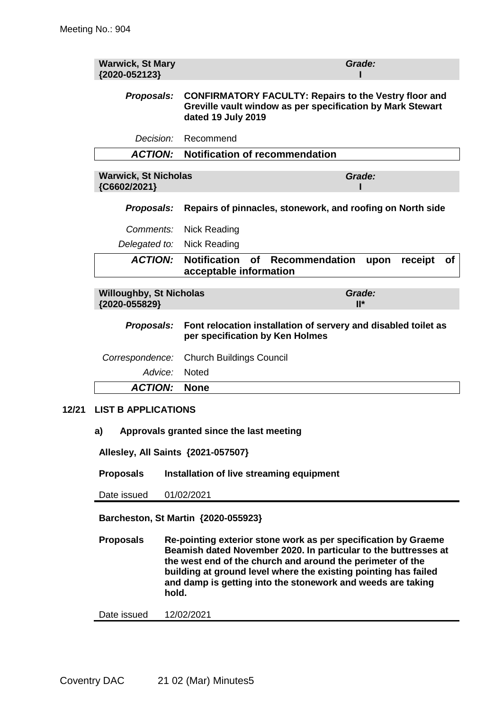**12/21** 

| <b>Warwick, St Mary</b><br>{2020-052123}        | Grade:                                                                                                                                           |  |  |
|-------------------------------------------------|--------------------------------------------------------------------------------------------------------------------------------------------------|--|--|
| Proposals:                                      | <b>CONFIRMATORY FACULTY: Repairs to the Vestry floor and</b><br>Greville vault window as per specification by Mark Stewart<br>dated 19 July 2019 |  |  |
| <i>Decision:</i>                                | Recommend                                                                                                                                        |  |  |
| <b>ACTION:</b>                                  | <b>Notification of recommendation</b>                                                                                                            |  |  |
| <b>Warwick, St Nicholas</b><br>{C6602/2021}     | Grade:                                                                                                                                           |  |  |
| Proposals:                                      | Repairs of pinnacles, stonework, and roofing on North side                                                                                       |  |  |
| <i>Comments:</i>                                | <b>Nick Reading</b>                                                                                                                              |  |  |
| Delegated to:                                   | <b>Nick Reading</b>                                                                                                                              |  |  |
| <b>ACTION:</b>                                  | <b>Notification</b><br><b>of</b><br><b>Recommendation</b><br>receipt<br><b>of</b><br>upon<br>acceptable information                              |  |  |
| <b>Willoughby, St Nicholas</b><br>{2020-055829} | Grade:<br>$II^*$                                                                                                                                 |  |  |
| Proposals:                                      | Font relocation installation of servery and disabled toilet as<br>per specification by Ken Holmes                                                |  |  |
| Correspondence:                                 | <b>Church Buildings Council</b>                                                                                                                  |  |  |
| Advice:                                         | <b>Noted</b>                                                                                                                                     |  |  |
| <b>ACTION:</b>                                  | <b>None</b>                                                                                                                                      |  |  |
| <b>LIST B APPLICATIONS</b>                      |                                                                                                                                                  |  |  |
| a)                                              | Approvals granted since the last meeting                                                                                                         |  |  |
| Allesley, All Saints {2021-057507}              |                                                                                                                                                  |  |  |
| <b>Proposals</b>                                | Installation of live streaming equipment                                                                                                         |  |  |

Date issued 01/02/2021

**Barcheston, St Martin {2020-055923}**

**Proposals Re-pointing exterior stone work as per specification by Graeme Beamish dated November 2020. In particular to the buttresses at the west end of the church and around the perimeter of the building at ground level where the existing pointing has failed and damp is getting into the stonework and weeds are taking hold.**

Date issued 12/02/2021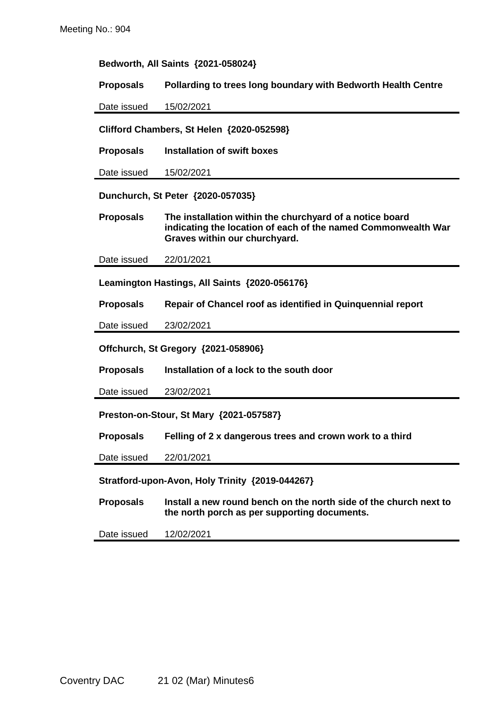#### **Bedworth, All Saints {2021-058024}**

**Proposals Pollarding to trees long boundary with Bedworth Health Centre**

Date issued 15/02/2021

**Clifford Chambers, St Helen {2020-052598}**

**Proposals Installation of swift boxes**

Date issued 15/02/2021

**Dunchurch, St Peter {2020-057035}**

**Proposals The installation within the churchyard of a notice board indicating the location of each of the named Commonwealth War Graves within our churchyard.**

Date issued 22/01/2021

**Leamington Hastings, All Saints {2020-056176}**

**Proposals Repair of Chancel roof as identified in Quinquennial report**

Date issued 23/02/2021

**Offchurch, St Gregory {2021-058906}**

**Proposals Installation of a lock to the south door**

Date issued 23/02/2021

**Preston-on-Stour, St Mary {2021-057587}**

**Proposals Felling of 2 x dangerous trees and crown work to a third**

Date issued 22/01/2021

**Stratford-upon-Avon, Holy Trinity {2019-044267}**

**Proposals Install a new round bench on the north side of the church next to the north porch as per supporting documents.**

Date issued 12/02/2021